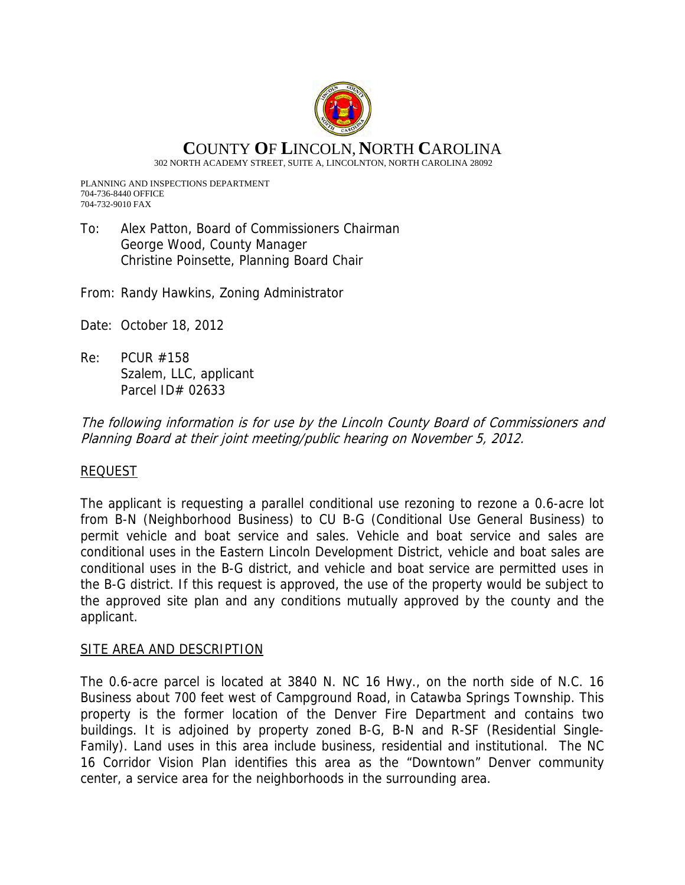

# **C**OUNTY **O**F **L**INCOLN, **N**ORTH **C**AROLINA

302 NORTH ACADEMY STREET, SUITE A, LINCOLNTON, NORTH CAROLINA 28092

PLANNING AND INSPECTIONS DEPARTMENT 704-736-8440 OFFICE 704-732-9010 FAX

To: Alex Patton, Board of Commissioners Chairman George Wood, County Manager Christine Poinsette, Planning Board Chair

From: Randy Hawkins, Zoning Administrator

- Date: October 18, 2012
- Re: PCUR #158 Szalem, LLC, applicant Parcel ID# 02633

The following information is for use by the Lincoln County Board of Commissioners and Planning Board at their joint meeting/public hearing on November 5, 2012.

## REQUEST

The applicant is requesting a parallel conditional use rezoning to rezone a 0.6-acre lot from B-N (Neighborhood Business) to CU B-G (Conditional Use General Business) to permit vehicle and boat service and sales. Vehicle and boat service and sales are conditional uses in the Eastern Lincoln Development District, vehicle and boat sales are conditional uses in the B-G district, and vehicle and boat service are permitted uses in the B-G district. If this request is approved, the use of the property would be subject to the approved site plan and any conditions mutually approved by the county and the applicant.

### SITE AREA AND DESCRIPTION

The 0.6-acre parcel is located at 3840 N. NC 16 Hwy., on the north side of N.C. 16 Business about 700 feet west of Campground Road, in Catawba Springs Township. This property is the former location of the Denver Fire Department and contains two buildings. It is adjoined by property zoned B-G, B-N and R-SF (Residential Single-Family). Land uses in this area include business, residential and institutional. The NC 16 Corridor Vision Plan identifies this area as the "Downtown" Denver community center, a service area for the neighborhoods in the surrounding area.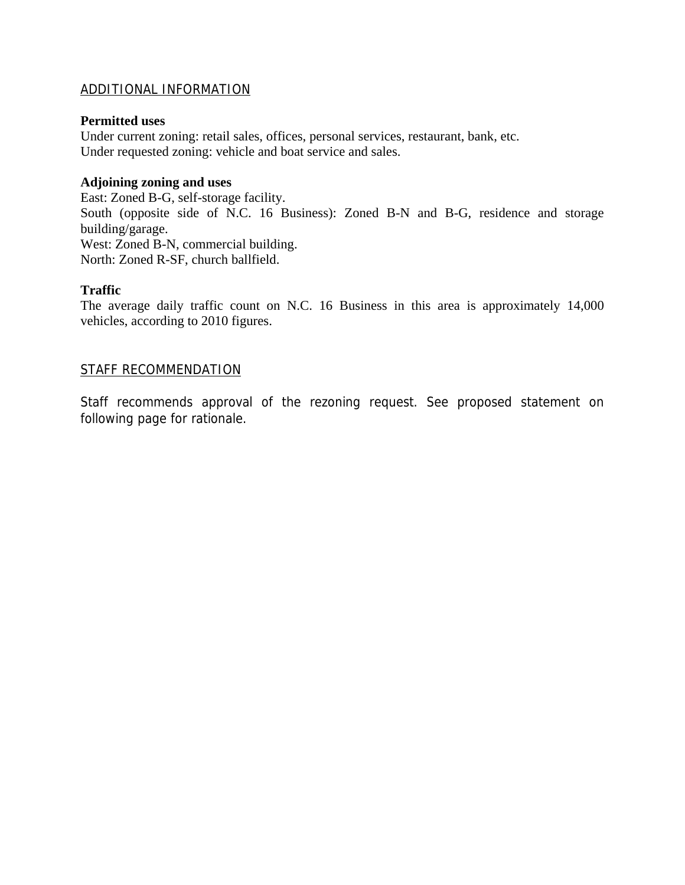### ADDITIONAL INFORMATION

#### **Permitted uses**

Under current zoning: retail sales, offices, personal services, restaurant, bank, etc. Under requested zoning: vehicle and boat service and sales.

#### **Adjoining zoning and uses**

East: Zoned B-G, self-storage facility. South (opposite side of N.C. 16 Business): Zoned B-N and B-G, residence and storage building/garage. West: Zoned B-N, commercial building. North: Zoned R-SF, church ballfield.

### **Traffic**

The average daily traffic count on N.C. 16 Business in this area is approximately 14,000 vehicles, according to 2010 figures.

### STAFF RECOMMENDATION

Staff recommends approval of the rezoning request. See proposed statement on following page for rationale.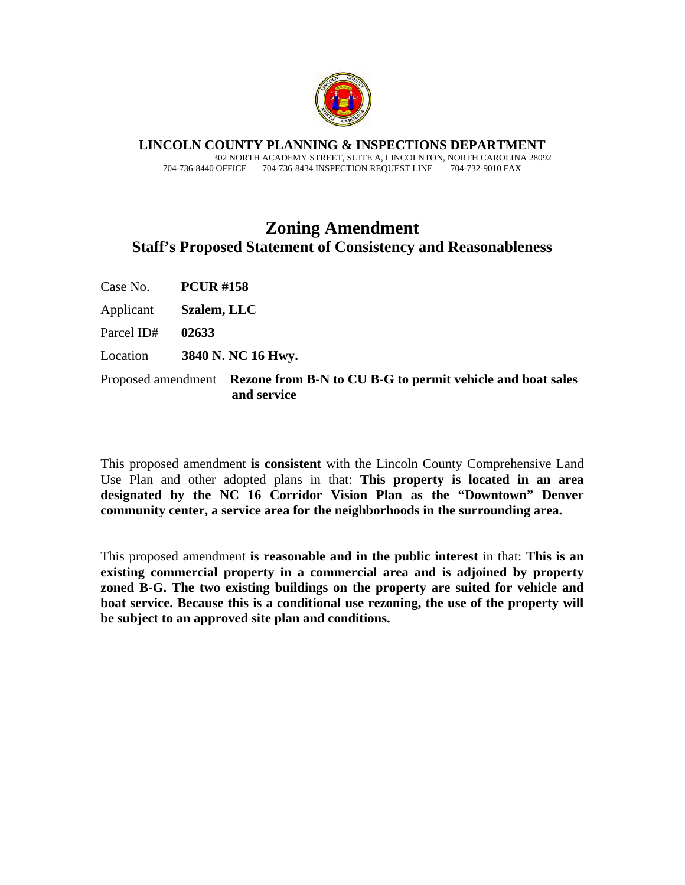

**LINCOLN COUNTY PLANNING & INSPECTIONS DEPARTMENT** 302 NORTH ACADEMY STREET, SUITE A, LINCOLNTON, NORTH CAROLINA 28092 704-736-8440 OFFICE 704-736-8434 INSPECTION REQUEST LINE 704-732-9010 FAX

# **Zoning Amendment Staff's Proposed Statement of Consistency and Reasonableness**

Case No. **PCUR #158** 

Applicant **Szalem, LLC** 

Parcel ID# **02633** 

Location **3840 N. NC 16 Hwy.**

Proposed amendment **Rezone from B-N to CU B-G to permit vehicle and boat sales and service**

This proposed amendment **is consistent** with the Lincoln County Comprehensive Land Use Plan and other adopted plans in that: **This property is located in an area designated by the NC 16 Corridor Vision Plan as the "Downtown" Denver community center, a service area for the neighborhoods in the surrounding area.** 

This proposed amendment **is reasonable and in the public interest** in that: **This is an existing commercial property in a commercial area and is adjoined by property zoned B-G. The two existing buildings on the property are suited for vehicle and boat service. Because this is a conditional use rezoning, the use of the property will be subject to an approved site plan and conditions.**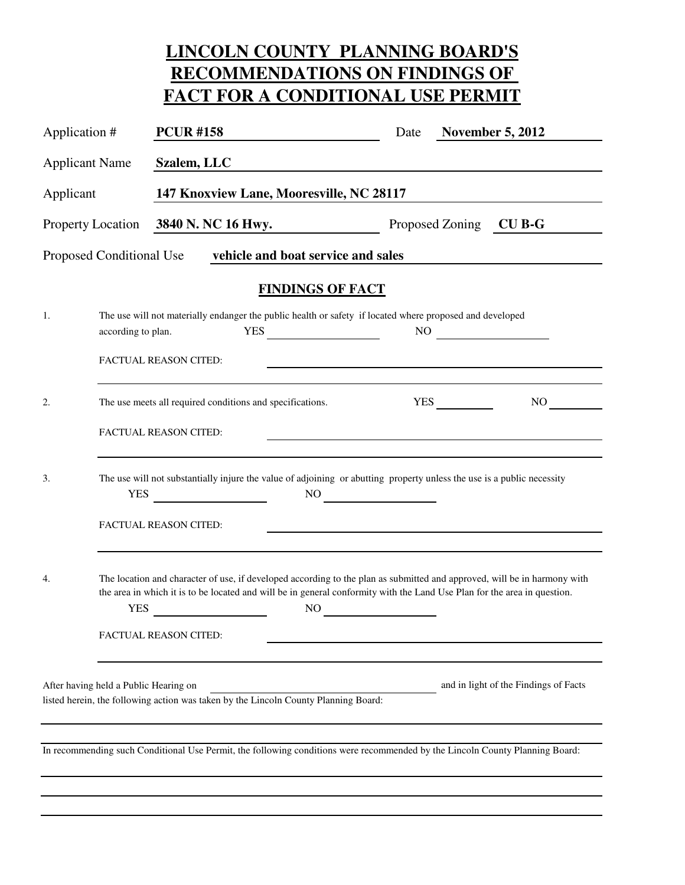# **LINCOLN COUNTY PLANNING BOARD'S RECOMMENDATIONS ON FINDINGS OF FACT FOR A CONDITIONAL USE PERMIT**

| Application #            |                                       | <b>PCUR#158</b>                                                                                                                                                                                                                                      |                                    | Date                                                                                                                                                                                                                                                                                                                                                                                                                     |                        | <b>November 5, 2012</b>               |
|--------------------------|---------------------------------------|------------------------------------------------------------------------------------------------------------------------------------------------------------------------------------------------------------------------------------------------------|------------------------------------|--------------------------------------------------------------------------------------------------------------------------------------------------------------------------------------------------------------------------------------------------------------------------------------------------------------------------------------------------------------------------------------------------------------------------|------------------------|---------------------------------------|
| <b>Applicant Name</b>    |                                       | Szalem, LLC                                                                                                                                                                                                                                          |                                    |                                                                                                                                                                                                                                                                                                                                                                                                                          |                        |                                       |
| Applicant                |                                       | 147 Knoxview Lane, Mooresville, NC 28117                                                                                                                                                                                                             |                                    |                                                                                                                                                                                                                                                                                                                                                                                                                          |                        |                                       |
| <b>Property Location</b> |                                       | 3840 N. NC 16 Hwy.                                                                                                                                                                                                                                   |                                    |                                                                                                                                                                                                                                                                                                                                                                                                                          | Proposed Zoning CU B-G |                                       |
|                          | Proposed Conditional Use              |                                                                                                                                                                                                                                                      | vehicle and boat service and sales |                                                                                                                                                                                                                                                                                                                                                                                                                          |                        |                                       |
|                          |                                       |                                                                                                                                                                                                                                                      | <b>FINDINGS OF FACT</b>            |                                                                                                                                                                                                                                                                                                                                                                                                                          |                        |                                       |
| 1.                       | according to plan.                    | The use will not materially endanger the public health or safety if located where proposed and developed                                                                                                                                             |                                    |                                                                                                                                                                                                                                                                                                                                                                                                                          |                        | NO                                    |
|                          |                                       | <b>FACTUAL REASON CITED:</b>                                                                                                                                                                                                                         |                                    | <u> 1989 - Johann Barbara, marka a shekara tsa 1989 - An tsa 1989 - An tsa 1989 - An tsa 1989 - An tsa 1989 - An</u>                                                                                                                                                                                                                                                                                                     |                        |                                       |
| 2.                       |                                       | The use meets all required conditions and specifications.                                                                                                                                                                                            |                                    |                                                                                                                                                                                                                                                                                                                                                                                                                          | <b>YES</b>             | NO                                    |
|                          |                                       | FACTUAL REASON CITED:                                                                                                                                                                                                                                |                                    |                                                                                                                                                                                                                                                                                                                                                                                                                          |                        |                                       |
| 3.                       | <b>YES</b>                            | The use will not substantially injure the value of adjoining or abutting property unless the use is a public necessity                                                                                                                               |                                    | $NO$ and $\frac{1}{\sqrt{1-\frac{1}{2}}}\frac{1}{\sqrt{1-\frac{1}{2}}}\frac{1}{\sqrt{1-\frac{1}{2}}}\frac{1}{\sqrt{1-\frac{1}{2}}}\frac{1}{\sqrt{1-\frac{1}{2}}}\frac{1}{\sqrt{1-\frac{1}{2}}}\frac{1}{\sqrt{1-\frac{1}{2}}}\frac{1}{\sqrt{1-\frac{1}{2}}}\frac{1}{\sqrt{1-\frac{1}{2}}}\frac{1}{\sqrt{1-\frac{1}{2}}}\frac{1}{\sqrt{1-\frac{1}{2}}}\frac{1}{\sqrt{1-\frac{1}{2}}}\frac{1}{\sqrt{1-\frac{1}{2}}}\frac{1$ |                        |                                       |
|                          |                                       | FACTUAL REASON CITED:                                                                                                                                                                                                                                |                                    |                                                                                                                                                                                                                                                                                                                                                                                                                          |                        |                                       |
| 4.                       | <b>YES</b>                            | The location and character of use, if developed according to the plan as submitted and approved, will be in harmony with<br>the area in which it is to be located and will be in general conformity with the Land Use Plan for the area in question. | N <sub>O</sub>                     |                                                                                                                                                                                                                                                                                                                                                                                                                          |                        |                                       |
|                          |                                       | <b>FACTUAL REASON CITED:</b>                                                                                                                                                                                                                         |                                    |                                                                                                                                                                                                                                                                                                                                                                                                                          |                        |                                       |
|                          | After having held a Public Hearing on | listed herein, the following action was taken by the Lincoln County Planning Board:                                                                                                                                                                  |                                    |                                                                                                                                                                                                                                                                                                                                                                                                                          |                        | and in light of the Findings of Facts |
|                          |                                       | In recommending such Conditional Use Permit, the following conditions were recommended by the Lincoln County Planning Board:                                                                                                                         |                                    |                                                                                                                                                                                                                                                                                                                                                                                                                          |                        |                                       |
|                          |                                       |                                                                                                                                                                                                                                                      |                                    |                                                                                                                                                                                                                                                                                                                                                                                                                          |                        |                                       |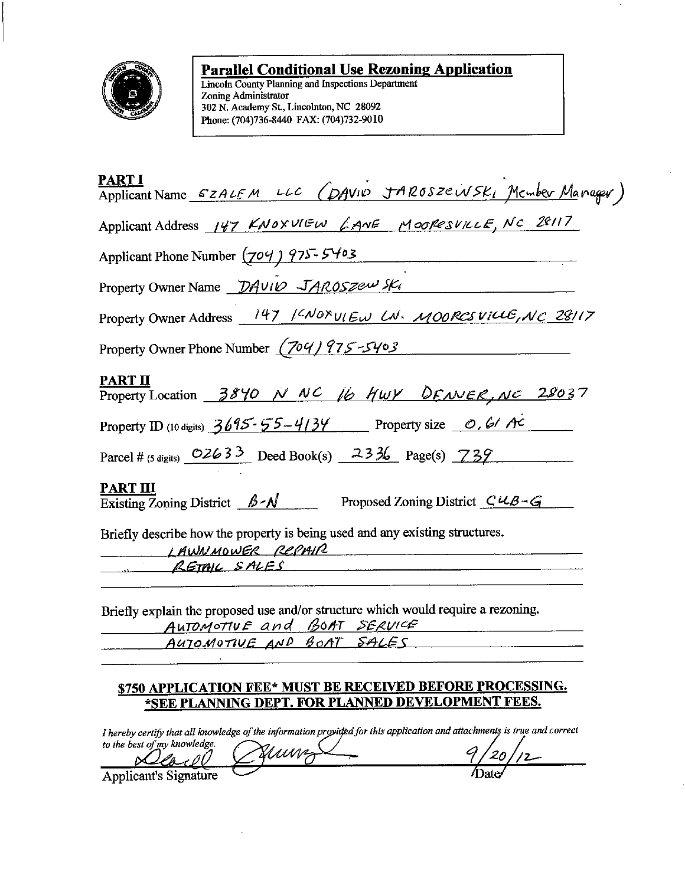

# **Parallel Conditional Use Rezoning Application**

Lincoln County Planning and Inspections Department Zoning Administrator 302 N. Academy St., Lincolnton, NC 28092 Phone: (704)736-8440 FAX: (704)732-9010

| FANII<br>Applicant Name <i>SZALEM LLC (DAVID JAROSZEWSKI</i> Member Manager)                         |  |
|------------------------------------------------------------------------------------------------------|--|
| Applicant Address 147 KNOXULEW LANE MOORESVILLE, NC 28117                                            |  |
| Applicant Phone Number (704) 975-5403                                                                |  |
| Property Owner Name DAVID JAROSZEW SKI                                                               |  |
| Property Owner Address 147 / CNOXULEW LN. MOORES VILLE, NC 28/17                                     |  |
| Property Owner Phone Number (704) 975-5403                                                           |  |
| <b>PART II</b><br>Property Location 3840 N NC 16 HWY DENVER, NC 28037                                |  |
| Property ID (10 digits) $3695 - 55 - 4134$ Property size $\theta$ , 61 Ac                            |  |
| Parcel # (5 digits) $02633$ Deed Book(s) $2336$ Page(s) $739$                                        |  |
| <b>PART III</b><br>Existing Zoning District $\beta \sim N$ Proposed Zoning District $C \mu B \sim G$ |  |
| Briefly describe how the property is being used and any existing structures.<br>LAWNMOWER REPAIR     |  |
| RETAIL SALES                                                                                         |  |

AUTOMOTIVE and BOAT SERVICE

AUTOMOTIVE AND BOAT SALES

# \$750 APPLICATION FEE\* MUST BE RECEIVED BEFORE PROCESSING. \*SEE PLANNING DEPT. FOR PLANNED DEVELOPMENT FEES.

I hereby certify that all knowledge of the information provided for this application and attachments is true and correct to the best of my knowledge.

'uunz <u>llond</u> M Applicant's Signature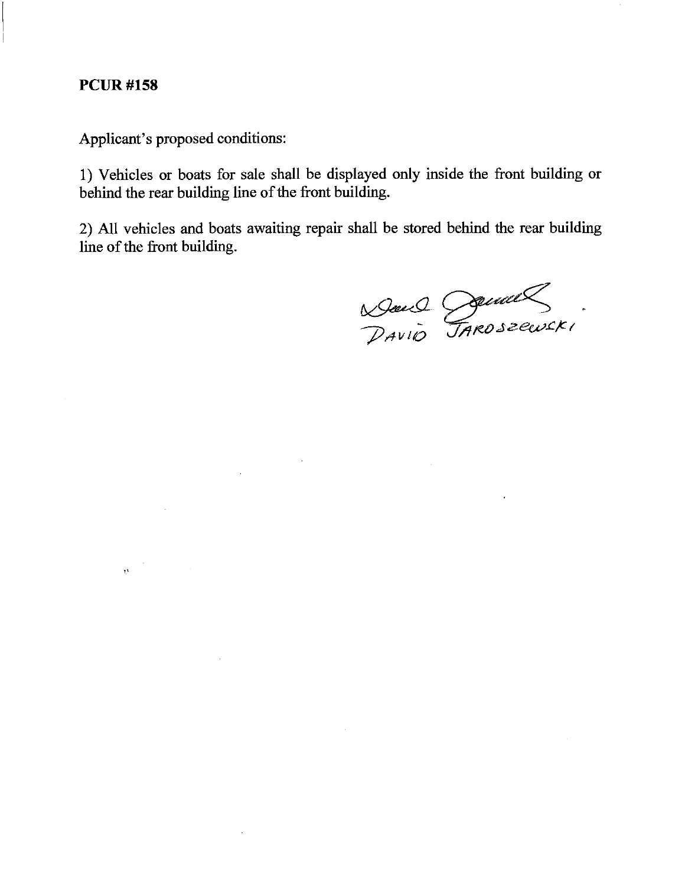# **PCUR#158**

Applicant's proposed conditions:

 $\sim 10$ 

 $\mathcal{L}(\mathcal{L}^{\text{max}})$  and  $\mathcal{L}(\mathcal{L}^{\text{max}})$ 

 $\label{eq:2.1} \mathbf{p}^{(n+1)} = \mathbf{p}^{(n+1)}$ 

1) Vehicles or boats for sale shall be displayed only inside the front building or behind the rear building line of the front building.

2) All vehicles and boats awaiting repair shall be stored behind the rear building line of the front building.

 $\alpha$ 

Dance Demall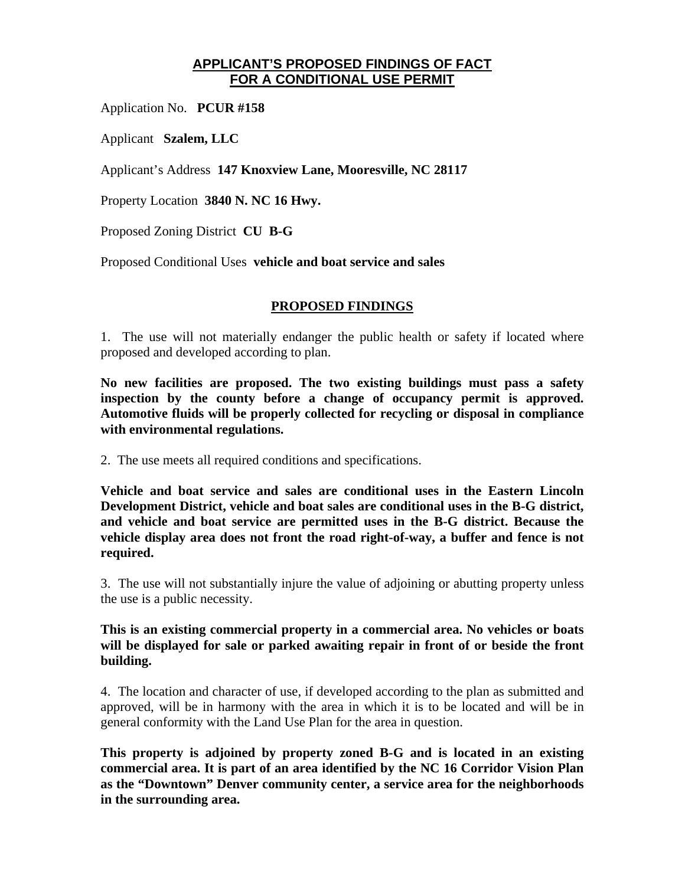# **APPLICANT'S PROPOSED FINDINGS OF FACT FOR A CONDITIONAL USE PERMIT**

Application No. **PCUR #158**

Applicant **Szalem, LLC** 

Applicant's Address **147 Knoxview Lane, Mooresville, NC 28117**

Property Location **3840 N. NC 16 Hwy.**

Proposed Zoning District **CU B-G** 

Proposed Conditional Uses **vehicle and boat service and sales** 

### **PROPOSED FINDINGS**

1. The use will not materially endanger the public health or safety if located where proposed and developed according to plan.

**No new facilities are proposed. The two existing buildings must pass a safety inspection by the county before a change of occupancy permit is approved. Automotive fluids will be properly collected for recycling or disposal in compliance with environmental regulations.** 

2. The use meets all required conditions and specifications.

**Vehicle and boat service and sales are conditional uses in the Eastern Lincoln Development District, vehicle and boat sales are conditional uses in the B-G district, and vehicle and boat service are permitted uses in the B-G district. Because the vehicle display area does not front the road right-of-way, a buffer and fence is not required.** 

3. The use will not substantially injure the value of adjoining or abutting property unless the use is a public necessity.

**This is an existing commercial property in a commercial area. No vehicles or boats will be displayed for sale or parked awaiting repair in front of or beside the front building.** 

4. The location and character of use, if developed according to the plan as submitted and approved, will be in harmony with the area in which it is to be located and will be in general conformity with the Land Use Plan for the area in question.

**This property is adjoined by property zoned B-G and is located in an existing commercial area. It is part of an area identified by the NC 16 Corridor Vision Plan as the "Downtown" Denver community center, a service area for the neighborhoods in the surrounding area.**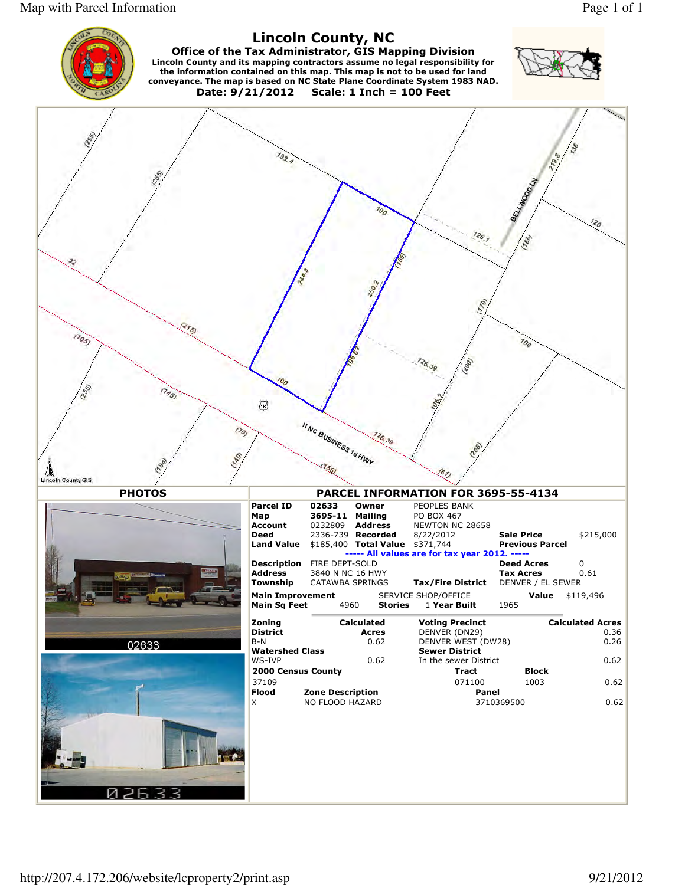Map with Parcel Information Page 1 of 1



Ø  $26$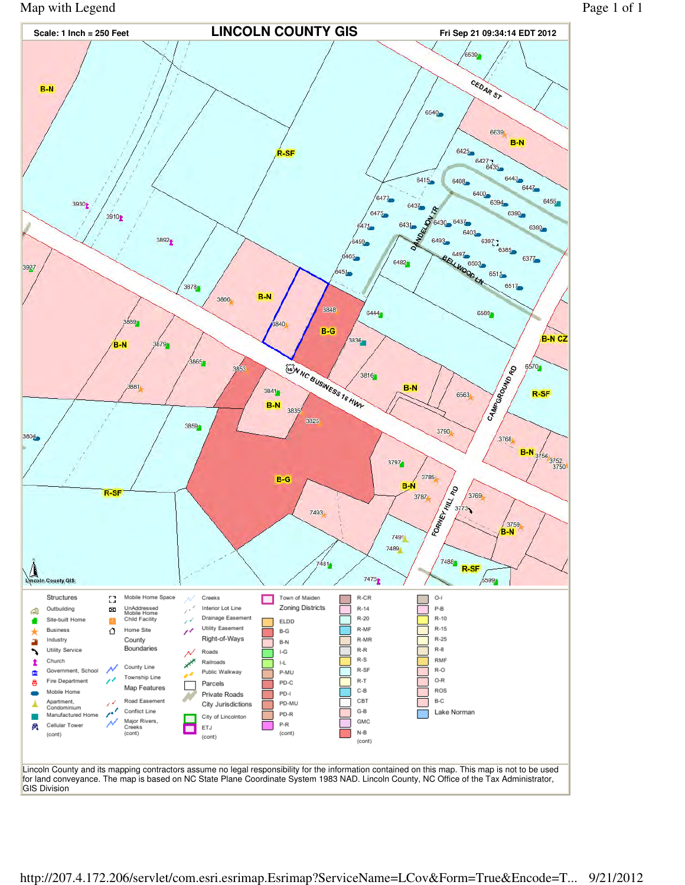